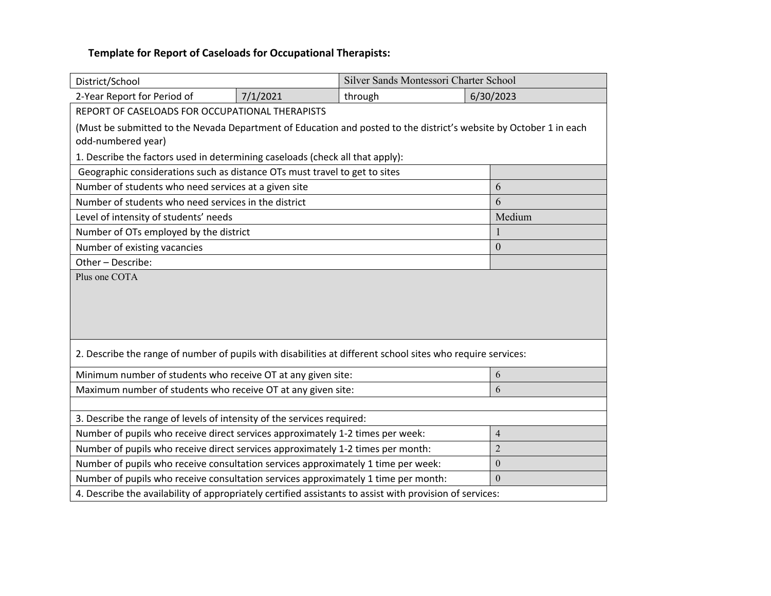| District/School                                                                                                                          |                | Silver Sands Montessori Charter School |          |                |  |  |
|------------------------------------------------------------------------------------------------------------------------------------------|----------------|----------------------------------------|----------|----------------|--|--|
| 2-Year Report for Period of                                                                                                              | 7/1/2021       | through                                |          | 6/30/2023      |  |  |
| REPORT OF CASELOADS FOR OCCUPATIONAL THERAPISTS                                                                                          |                |                                        |          |                |  |  |
| (Must be submitted to the Nevada Department of Education and posted to the district's website by October 1 in each<br>odd-numbered year) |                |                                        |          |                |  |  |
| 1. Describe the factors used in determining caseloads (check all that apply):                                                            |                |                                        |          |                |  |  |
| Geographic considerations such as distance OTs must travel to get to sites                                                               |                |                                        |          |                |  |  |
| Number of students who need services at a given site                                                                                     |                |                                        |          | 6              |  |  |
| Number of students who need services in the district                                                                                     | 6              |                                        |          |                |  |  |
| Level of intensity of students' needs                                                                                                    |                |                                        |          | Medium         |  |  |
| Number of OTs employed by the district                                                                                                   |                |                                        |          | $\mathbf{1}$   |  |  |
| Number of existing vacancies                                                                                                             |                |                                        |          | $\overline{0}$ |  |  |
| Other-Describe:                                                                                                                          |                |                                        |          |                |  |  |
|                                                                                                                                          |                |                                        |          |                |  |  |
| 2. Describe the range of number of pupils with disabilities at different school sites who require services:                              |                |                                        |          |                |  |  |
| Minimum number of students who receive OT at any given site:                                                                             |                |                                        |          | 6              |  |  |
| Maximum number of students who receive OT at any given site:                                                                             |                |                                        |          | 6              |  |  |
|                                                                                                                                          |                |                                        |          |                |  |  |
| 3. Describe the range of levels of intensity of the services required:                                                                   |                |                                        |          |                |  |  |
| Number of pupils who receive direct services approximately 1-2 times per week:                                                           |                |                                        |          | $\overline{4}$ |  |  |
| Number of pupils who receive direct services approximately 1-2 times per month:                                                          | $\overline{2}$ |                                        |          |                |  |  |
| Number of pupils who receive consultation services approximately 1 time per week:                                                        |                |                                        | $\theta$ |                |  |  |
| $\mathbf{0}$<br>Number of pupils who receive consultation services approximately 1 time per month:                                       |                |                                        |          |                |  |  |
| 4. Describe the availability of appropriately certified assistants to assist with provision of services:                                 |                |                                        |          |                |  |  |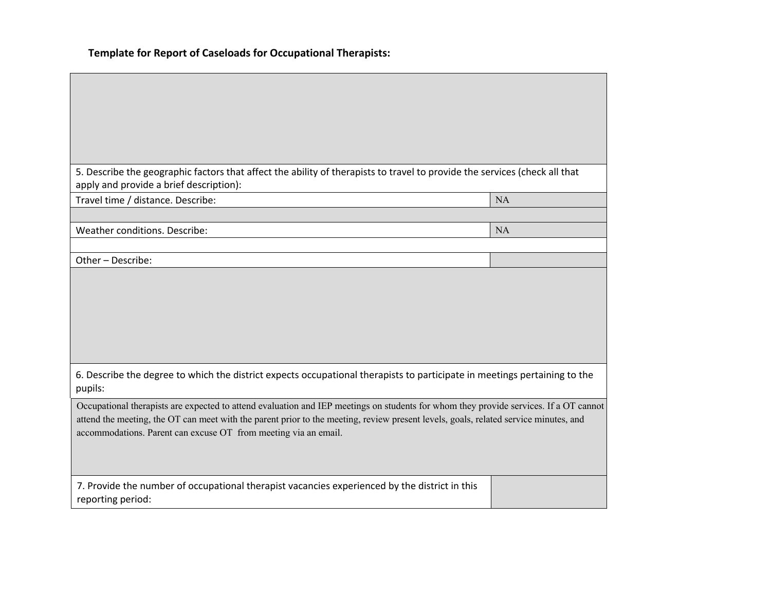| 5. Describe the geographic factors that affect the ability of therapists to travel to provide the services (check all that<br>apply and provide a brief description):                                                                                                                                                                            |           |
|--------------------------------------------------------------------------------------------------------------------------------------------------------------------------------------------------------------------------------------------------------------------------------------------------------------------------------------------------|-----------|
| Travel time / distance. Describe:                                                                                                                                                                                                                                                                                                                | <b>NA</b> |
|                                                                                                                                                                                                                                                                                                                                                  |           |
| Weather conditions. Describe:                                                                                                                                                                                                                                                                                                                    | <b>NA</b> |
| Other-Describe:                                                                                                                                                                                                                                                                                                                                  |           |
|                                                                                                                                                                                                                                                                                                                                                  |           |
|                                                                                                                                                                                                                                                                                                                                                  |           |
|                                                                                                                                                                                                                                                                                                                                                  |           |
|                                                                                                                                                                                                                                                                                                                                                  |           |
|                                                                                                                                                                                                                                                                                                                                                  |           |
| 6. Describe the degree to which the district expects occupational therapists to participate in meetings pertaining to the<br>pupils:                                                                                                                                                                                                             |           |
| Occupational therapists are expected to attend evaluation and IEP meetings on students for whom they provide services. If a OT cannot<br>attend the meeting, the OT can meet with the parent prior to the meeting, review present levels, goals, related service minutes, and<br>accommodations. Parent can excuse OT from meeting via an email. |           |
|                                                                                                                                                                                                                                                                                                                                                  |           |
| 7. Provide the number of occupational therapist vacancies experienced by the district in this<br>reporting period:                                                                                                                                                                                                                               |           |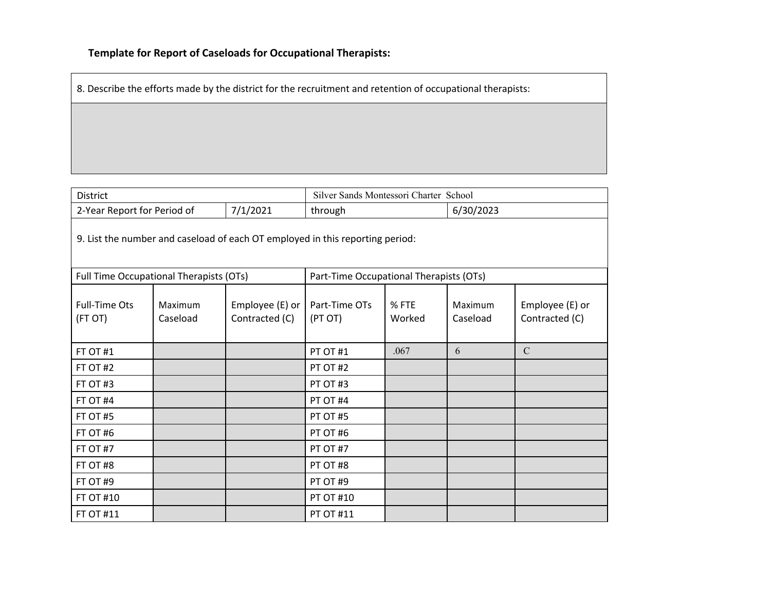8. Describe the efforts made by the district for the recruitment and retention of occupational therapists:

| <b>District</b>                                                               |                            | Silver Sands Montessori Charter School  |                          |                 |                     |                                   |  |
|-------------------------------------------------------------------------------|----------------------------|-----------------------------------------|--------------------------|-----------------|---------------------|-----------------------------------|--|
| 2-Year Report for Period of                                                   |                            | 7/1/2021                                | through                  |                 | 6/30/2023           |                                   |  |
| 9. List the number and caseload of each OT employed in this reporting period: |                            |                                         |                          |                 |                     |                                   |  |
| Full Time Occupational Therapists (OTs)                                       |                            | Part-Time Occupational Therapists (OTs) |                          |                 |                     |                                   |  |
| <b>Full-Time Ots</b><br>(FT OT)                                               | <b>Maximum</b><br>Caseload | Employee (E) or<br>Contracted (C)       | Part-Time OTs<br>(PT OT) | % FTE<br>Worked | Maximum<br>Caseload | Employee (E) or<br>Contracted (C) |  |
| FT OT #1                                                                      |                            |                                         | PT OT #1                 | .067            | 6                   | $\mathbf C$                       |  |
| FT OT #2                                                                      |                            |                                         | PT OT #2                 |                 |                     |                                   |  |
| FT OT #3                                                                      |                            |                                         | PT OT #3                 |                 |                     |                                   |  |
| FT OT #4                                                                      |                            |                                         | PT OT #4                 |                 |                     |                                   |  |
| FT OT #5                                                                      |                            |                                         | PT OT #5                 |                 |                     |                                   |  |
| FT OT #6                                                                      |                            |                                         | PT OT #6                 |                 |                     |                                   |  |
| FT OT $#7$                                                                    |                            |                                         | <b>PT OT #7</b>          |                 |                     |                                   |  |
| FT OT #8                                                                      |                            |                                         | PT OT #8                 |                 |                     |                                   |  |
| FT OT #9                                                                      |                            |                                         | PT OT #9                 |                 |                     |                                   |  |
| <b>FT OT #10</b>                                                              |                            |                                         | <b>PT OT #10</b>         |                 |                     |                                   |  |
| <b>FT OT #11</b>                                                              |                            |                                         | <b>PT OT #11</b>         |                 |                     |                                   |  |